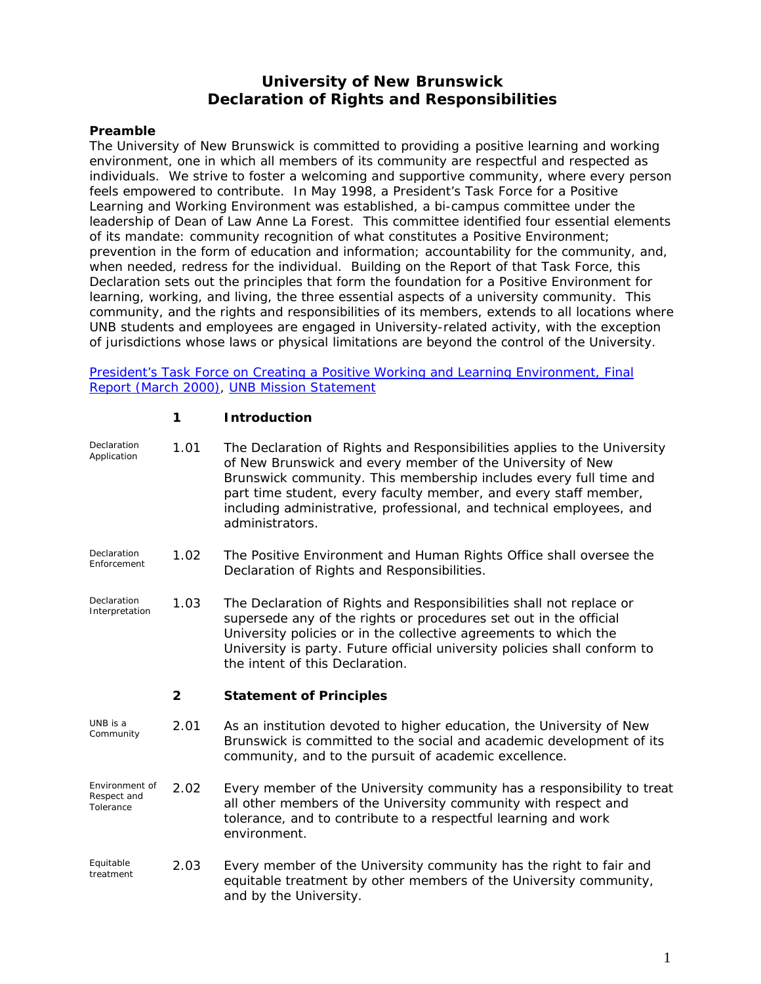# **University of New Brunswick Declaration of Rights and Responsibilities**

#### **Preamble**

The University of New Brunswick is committed to providing a positive learning and working environment, one in which all members of its community are respectful and respected as individuals. We strive to foster a welcoming and supportive community, where every person feels empowered to contribute. In May 1998, a President's Task Force for a Positive Learning and Working Environment was established, a bi-campus committee under the leadership of Dean of Law Anne La Forest. This committee identified four essential elements of its mandate: community recognition of what constitutes a Positive Environment; prevention in the form of education and information; accountability for the community, and, when needed, redress for the individual. Building on the Report of that Task Force, this Declaration sets out the principles that form the foundation for a Positive Environment for learning, working, and living, the three essential aspects of a university community. This community, and the rights and responsibilities of its members, extends to all locations where UNB students and employees are engaged in University-related activity, with the exception of jurisdictions whose laws or physical limitations are beyond the control of the University.

[President's Task Force on Creating a Positive Working and Learning Environment, Final](http://www.unbf.ca/vp/learn/positive/Report2000.pdf)  [Report \(March 2000\)](http://www.unbf.ca/vp/learn/positive/Report2000.pdf), [UNB Mission Statement](http://www.unb.ca/welcome/mission.html)

#### **1 Introduction**

| Declaration<br>Application                 | 1.01           | The Declaration of Rights and Responsibilities applies to the University<br>of New Brunswick and every member of the University of New<br>Brunswick community. This membership includes every full time and<br>part time student, every faculty member, and every staff member,<br>including administrative, professional, and technical employees, and<br>administrators. |
|--------------------------------------------|----------------|----------------------------------------------------------------------------------------------------------------------------------------------------------------------------------------------------------------------------------------------------------------------------------------------------------------------------------------------------------------------------|
| Declaration<br>Enforcement                 | 1.02           | The Positive Environment and Human Rights Office shall oversee the<br>Declaration of Rights and Responsibilities.                                                                                                                                                                                                                                                          |
| Declaration<br>Interpretation              | 1.03           | The Declaration of Rights and Responsibilities shall not replace or<br>supersede any of the rights or procedures set out in the official<br>University policies or in the collective agreements to which the<br>University is party. Future official university policies shall conform to<br>the intent of this Declaration.                                               |
|                                            | $\overline{2}$ | <b>Statement of Principles</b>                                                                                                                                                                                                                                                                                                                                             |
| UNB is a<br>Community                      | 2.01           | As an institution devoted to higher education, the University of New<br>Brunswick is committed to the social and academic development of its<br>community, and to the pursuit of academic excellence.                                                                                                                                                                      |
| Environment of<br>Respect and<br>Tolerance | 2.02           | Every member of the University community has a responsibility to treat<br>all other members of the University community with respect and<br>tolerance, and to contribute to a respectful learning and work<br>environment.                                                                                                                                                 |
| Equitable<br>treatment                     | 2.03           | Every member of the University community has the right to fair and<br>equitable treatment by other members of the University community,<br>and by the University.                                                                                                                                                                                                          |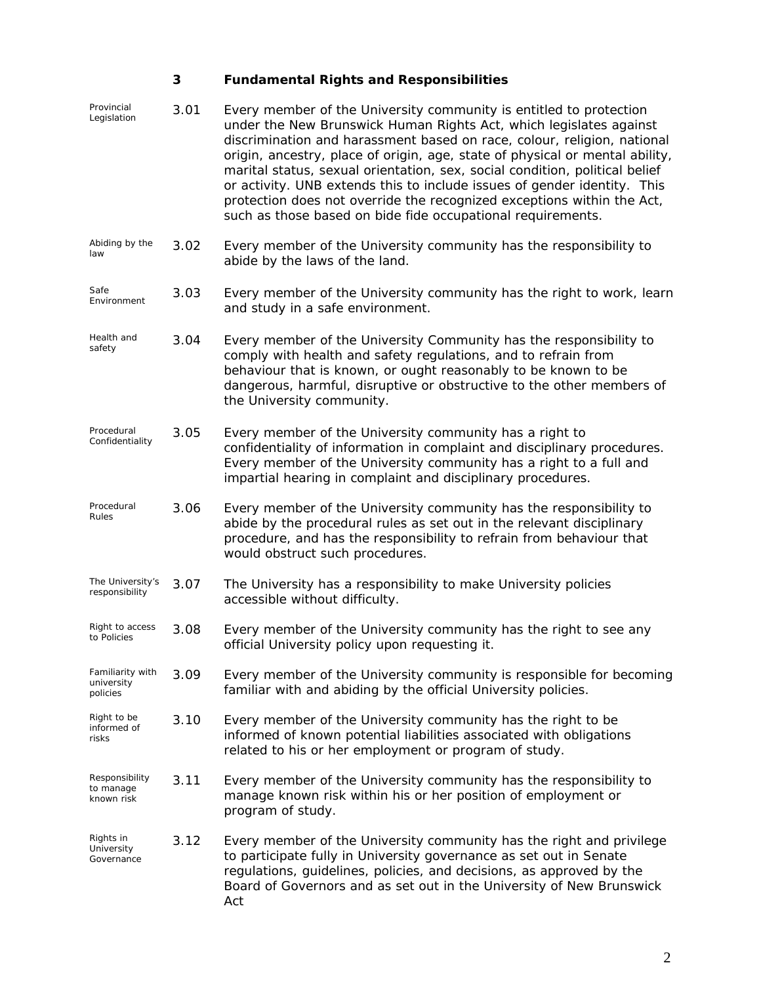# **3 Fundamental Rights and Responsibilities**

| Provincial<br>Legislation                    | 3.01 | Every member of the University community is entitled to protection<br>under the New Brunswick Human Rights Act, which legislates against<br>discrimination and harassment based on race, colour, religion, national<br>origin, ancestry, place of origin, age, state of physical or mental ability,<br>marital status, sexual orientation, sex, social condition, political belief<br>or activity. UNB extends this to include issues of gender identity. This<br>protection does not override the recognized exceptions within the Act,<br>such as those based on bide fide occupational requirements. |
|----------------------------------------------|------|---------------------------------------------------------------------------------------------------------------------------------------------------------------------------------------------------------------------------------------------------------------------------------------------------------------------------------------------------------------------------------------------------------------------------------------------------------------------------------------------------------------------------------------------------------------------------------------------------------|
| Abiding by the<br>law                        | 3.02 | Every member of the University community has the responsibility to<br>abide by the laws of the land.                                                                                                                                                                                                                                                                                                                                                                                                                                                                                                    |
| Safe<br>Environment                          | 3.03 | Every member of the University community has the right to work, learn<br>and study in a safe environment.                                                                                                                                                                                                                                                                                                                                                                                                                                                                                               |
| Health and<br>safety                         | 3.04 | Every member of the University Community has the responsibility to<br>comply with health and safety regulations, and to refrain from<br>behaviour that is known, or ought reasonably to be known to be<br>dangerous, harmful, disruptive or obstructive to the other members of<br>the University community.                                                                                                                                                                                                                                                                                            |
| Procedural<br>Confidentiality                | 3.05 | Every member of the University community has a right to<br>confidentiality of information in complaint and disciplinary procedures.<br>Every member of the University community has a right to a full and<br>impartial hearing in complaint and disciplinary procedures.                                                                                                                                                                                                                                                                                                                                |
| Procedural<br><i><b>Rules</b></i>            | 3.06 | Every member of the University community has the responsibility to<br>abide by the procedural rules as set out in the relevant disciplinary<br>procedure, and has the responsibility to refrain from behaviour that<br>would obstruct such procedures.                                                                                                                                                                                                                                                                                                                                                  |
| The University's<br>responsibility           | 3.07 | The University has a responsibility to make University policies<br>accessible without difficulty.                                                                                                                                                                                                                                                                                                                                                                                                                                                                                                       |
| Right to access<br>to Policies               | 3.08 | Every member of the University community has the right to see any<br>official University policy upon requesting it.                                                                                                                                                                                                                                                                                                                                                                                                                                                                                     |
| Familiarity with<br>university<br>policies   | 3.09 | Every member of the University community is responsible for becoming<br>familiar with and abiding by the official University policies.                                                                                                                                                                                                                                                                                                                                                                                                                                                                  |
| Right to be<br>informed of<br>risks          | 3.10 | Every member of the University community has the right to be<br>informed of known potential liabilities associated with obligations<br>related to his or her employment or program of study.                                                                                                                                                                                                                                                                                                                                                                                                            |
| Responsibility<br>to manage<br>known risk    | 3.11 | Every member of the University community has the responsibility to<br>manage known risk within his or her position of employment or<br>program of study.                                                                                                                                                                                                                                                                                                                                                                                                                                                |
| Rights in<br>University<br><i>Governance</i> | 3.12 | Every member of the University community has the right and privilege<br>to participate fully in University governance as set out in Senate<br>regulations, guidelines, policies, and decisions, as approved by the<br>Board of Governors and as set out in the University of New Brunswick<br>Act                                                                                                                                                                                                                                                                                                       |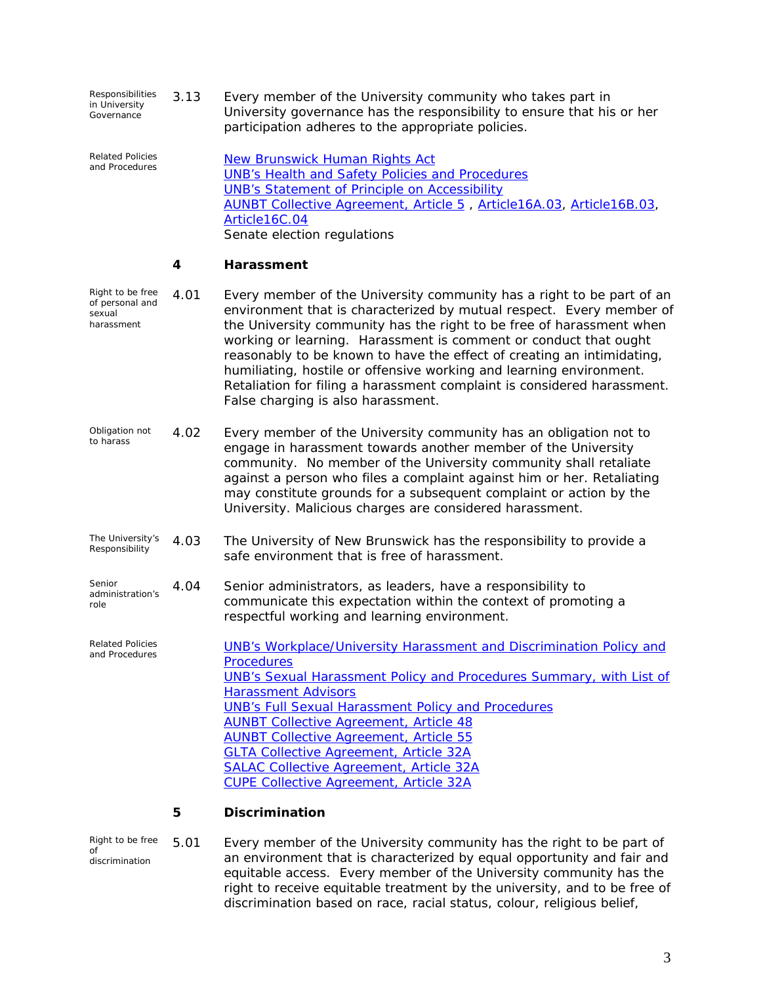| <i>Responsibilities</i><br>in University<br>Governance | 3.13 | Every member of the University community who takes part in             |
|--------------------------------------------------------|------|------------------------------------------------------------------------|
|                                                        |      | University governance has the responsibility to ensure that his or her |
|                                                        |      | participation adheres to the appropriate policies.                     |

*Related Policies*  **[New Brunswick Human Rights Act](http://www.gnb.ca/acts/acts/h-11.htm)** [UNB's Health and Safety Policies and Procedures](http://www.unb.ca/safety/)  [UNB's Statement of Principle on Accessibility](http://www.unbf.ca/vp/learn/access/access_actions.html)  [AUNBT Collective Agreement, Article 5](http://www.unb.ca/hr/services/Article5.html) , [Article16A.03](http://www.unb.ca/hr/services/Article16A.html), [Article16B.03](http://www.unb.ca/hr/services/Article16B.html), [Article16C.04](http://www.unb.ca/hr/services/Article16C.html)  Senate election regulations

#### **4 Harassment**

| Right to be free<br>of personal and<br>sexual<br>harassment | 4.01 | Every member of the University community has a right to be part of an<br>environment that is characterized by mutual respect. Every member of<br>the University community has the right to be free of harassment when<br>working or learning. Harassment is comment or conduct that ought<br>reasonably to be known to have the effect of creating an intimidating,<br>humiliating, hostile or offensive working and learning environment.<br>Retaliation for filing a harassment complaint is considered harassment.<br>False charging is also harassment. |
|-------------------------------------------------------------|------|-------------------------------------------------------------------------------------------------------------------------------------------------------------------------------------------------------------------------------------------------------------------------------------------------------------------------------------------------------------------------------------------------------------------------------------------------------------------------------------------------------------------------------------------------------------|
| Obligation not<br>to harass                                 | 4.02 | Every member of the University community has an obligation not to<br>engage in harassment towards another member of the University<br>community. No member of the University community shall retaliate<br>against a person who files a complaint against him or her. Retaliating<br>may constitute grounds for a subsequent complaint or action by the<br>University. Malicious charges are considered harassment.                                                                                                                                          |
| The University's<br>Responsibility                          | 4.03 | The University of New Brunswick has the responsibility to provide a<br>safe environment that is free of harassment.                                                                                                                                                                                                                                                                                                                                                                                                                                         |
| Senior<br>administration's<br>role                          | 4.04 | Senior administrators, as leaders, have a responsibility to<br>communicate this expectation within the context of promoting a<br>respectful working and learning environment.                                                                                                                                                                                                                                                                                                                                                                               |
| <b>Related Policies</b><br>and Procedures                   |      | <b>UNB's Workplace/University Harassment and Discrimination Policy and</b><br><b>Procedures</b><br><b>UNB's Sexual Harassment Policy and Procedures Summary, with List of</b><br><b>Harassment Advisors</b><br><b>UNB's Full Sexual Harassment Policy and Procedures</b><br><b>AUNBT Collective Agreement, Article 48</b><br><b>AUNBT Collective Agreement, Article 55</b><br><b>GLTA Collective Agreement, Article 32A</b><br><b>SALAC Collective Agreement, Article 32A</b><br><b>CUPE Collective Agreement, Article 32A</b>                              |

#### **5 Discrimination**

*Right to be free of discrimination*  5.01 Every member of the University community has the right to be part of an environment that is characterized by equal opportunity and fair and equitable access. Every member of the University community has the right to receive equitable treatment by the university, and to be free of discrimination based on race, racial status, colour, religious belief,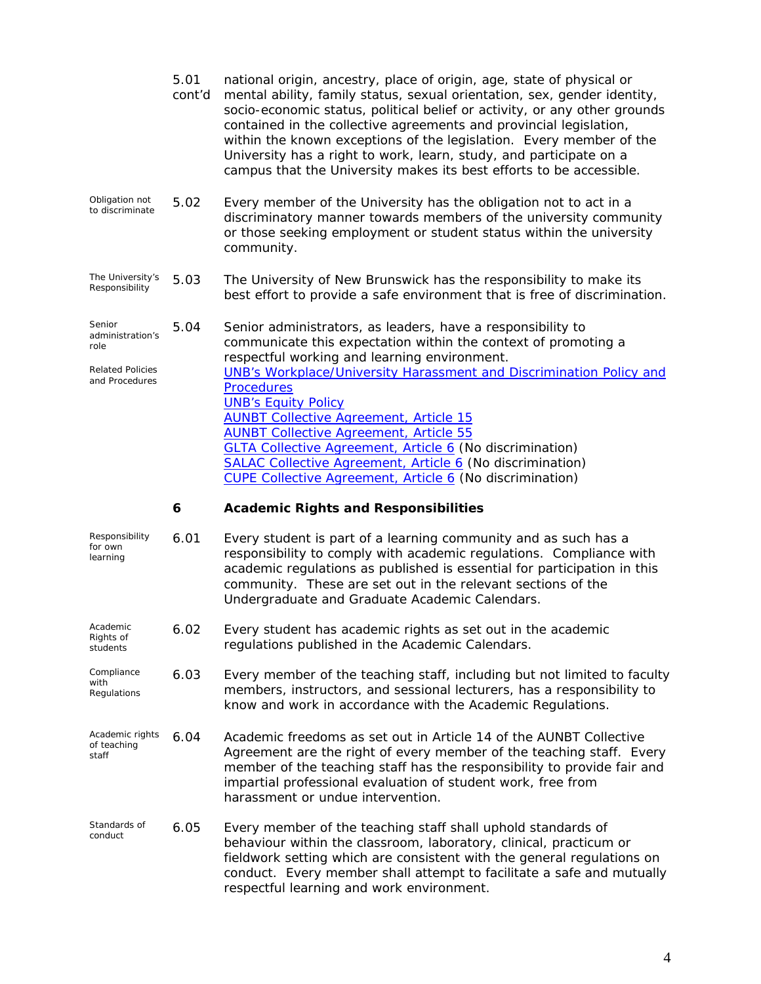|                                                                                 | 5.01<br>cont'd | national origin, ancestry, place of origin, age, state of physical or<br>mental ability, family status, sexual orientation, sex, gender identity,<br>socio-economic status, political belief or activity, or any other grounds<br>contained in the collective agreements and provincial legislation,<br>within the known exceptions of the legislation. Every member of the<br>University has a right to work, learn, study, and participate on a<br>campus that the University makes its best efforts to be accessible.                                                                              |
|---------------------------------------------------------------------------------|----------------|-------------------------------------------------------------------------------------------------------------------------------------------------------------------------------------------------------------------------------------------------------------------------------------------------------------------------------------------------------------------------------------------------------------------------------------------------------------------------------------------------------------------------------------------------------------------------------------------------------|
| Obligation not<br>to discriminate                                               | 5.02           | Every member of the University has the obligation not to act in a<br>discriminatory manner towards members of the university community<br>or those seeking employment or student status within the university<br>community.                                                                                                                                                                                                                                                                                                                                                                           |
| The University's<br>Responsibility                                              | 5.03           | The University of New Brunswick has the responsibility to make its<br>best effort to provide a safe environment that is free of discrimination.                                                                                                                                                                                                                                                                                                                                                                                                                                                       |
| Senior<br>administration's<br>role<br><b>Related Policies</b><br>and Procedures | 5.04           | Senior administrators, as leaders, have a responsibility to<br>communicate this expectation within the context of promoting a<br>respectful working and learning environment.<br><b>UNB's Workplace/University Harassment and Discrimination Policy and</b><br><b>Procedures</b><br><b>UNB's Equity Policy</b><br><b>AUNBT Collective Agreement, Article 15</b><br><b>AUNBT Collective Agreement, Article 55</b><br>GLTA Collective Agreement, Article 6 (No discrimination)<br>SALAC Collective Agreement, Article 6 (No discrimination)<br>CUPE Collective Agreement, Article 6 (No discrimination) |
|                                                                                 | 6              | <b>Academic Rights and Responsibilities</b>                                                                                                                                                                                                                                                                                                                                                                                                                                                                                                                                                           |
|                                                                                 |                |                                                                                                                                                                                                                                                                                                                                                                                                                                                                                                                                                                                                       |
| Responsibility<br>for own<br>learning                                           | 6.01           | Every student is part of a learning community and as such has a<br>responsibility to comply with academic regulations. Compliance with<br>academic regulations as published is essential for participation in this<br>community. These are set out in the relevant sections of the<br>Undergraduate and Graduate Academic Calendars.                                                                                                                                                                                                                                                                  |
| Academic<br>Rights of<br>students                                               | 6.02           | Every student has academic rights as set out in the academic<br>regulations published in the Academic Calendars.                                                                                                                                                                                                                                                                                                                                                                                                                                                                                      |
| Compliance<br>with<br>Regulations                                               | 6.03           | Every member of the teaching staff, including but not limited to faculty<br>members, instructors, and sessional lecturers, has a responsibility to<br>know and work in accordance with the Academic Regulations.                                                                                                                                                                                                                                                                                                                                                                                      |
| Academic rights<br>of teaching<br>staff                                         | 6.04           | Academic freedoms as set out in Article 14 of the AUNBT Collective<br>Agreement are the right of every member of the teaching staff. Every<br>member of the teaching staff has the responsibility to provide fair and<br>impartial professional evaluation of student work, free from<br>harassment or undue intervention.                                                                                                                                                                                                                                                                            |

fieldwork setting which are consistent with the general regulations on conduct. Every member shall attempt to facilitate a safe and mutually respectful learning and work environment.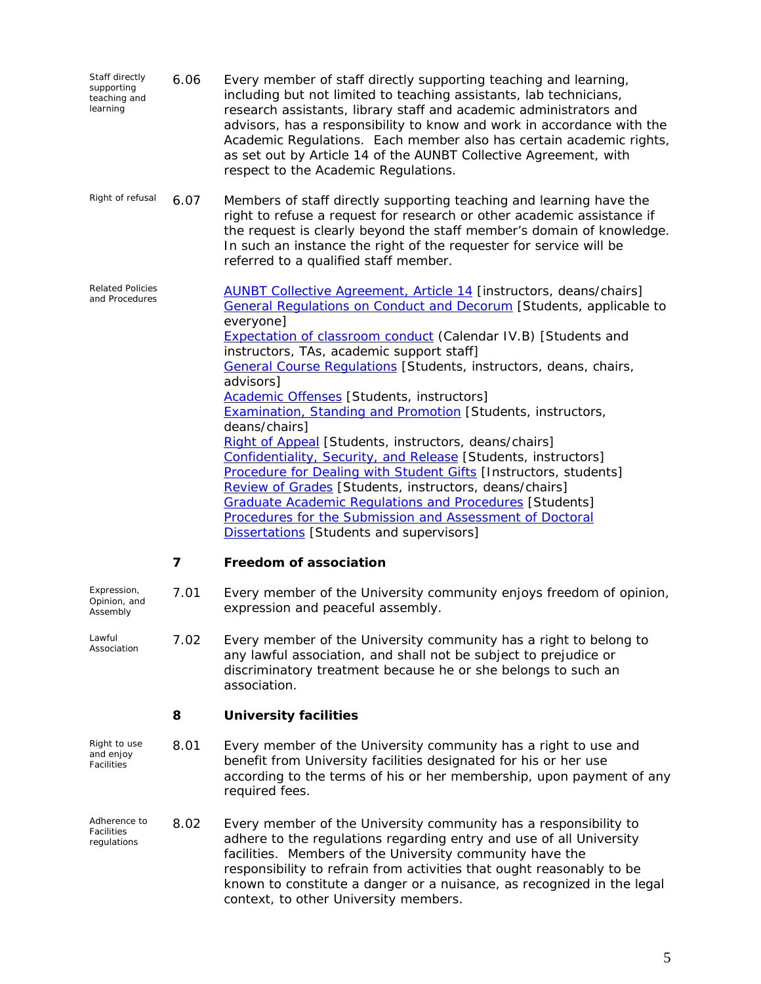| Staff directly<br>supporting<br>teaching and<br>learning | 6.06 | Every member of staff directly supporting teaching and learning,<br>including but not limited to teaching assistants, lab technicians,<br>research assistants, library staff and academic administrators and<br>advisors, has a responsibility to know and work in accordance with the<br>Academic Regulations. Each member also has certain academic rights,<br>as set out by Article 14 of the AUNBT Collective Agreement, with<br>respect to the Academic Regulations.                                                                                                                                                                                                                                                                                                                                                                                                                                                                           |
|----------------------------------------------------------|------|-----------------------------------------------------------------------------------------------------------------------------------------------------------------------------------------------------------------------------------------------------------------------------------------------------------------------------------------------------------------------------------------------------------------------------------------------------------------------------------------------------------------------------------------------------------------------------------------------------------------------------------------------------------------------------------------------------------------------------------------------------------------------------------------------------------------------------------------------------------------------------------------------------------------------------------------------------|
| Right of refusal                                         | 6.07 | Members of staff directly supporting teaching and learning have the<br>right to refuse a request for research or other academic assistance if<br>the request is clearly beyond the staff member's domain of knowledge.<br>In such an instance the right of the requester for service will be<br>referred to a qualified staff member.                                                                                                                                                                                                                                                                                                                                                                                                                                                                                                                                                                                                               |
| <b>Related Policies</b><br>and Procedures                |      | <b>AUNBT Collective Agreement, Article 14 [instructors, deans/chairs]</b><br>General Regulations on Conduct and Decorum [Students, applicable to<br>everyone]<br><b>Expectation of classroom conduct (Calendar IV.B) [Students and</b><br>instructors, TAs, academic support staff]<br>General Course Requlations [Students, instructors, deans, chairs,<br>advisors]<br><b>Academic Offenses</b> [Students, instructors]<br><b>Examination, Standing and Promotion [Students, instructors,</b><br>deans/chairs]<br>Right of Appeal [Students, instructors, deans/chairs]<br>Confidentiality, Security, and Release [Students, instructors]<br>Procedure for Dealing with Student Gifts [Instructors, students]<br>Review of Grades [Students, instructors, deans/chairs]<br>Graduate Academic Regulations and Procedures [Students]<br>Procedures for the Submission and Assessment of Doctoral<br><b>Dissertations</b> [Students and supervisors] |
|                                                          | 7    | Freedom of association                                                                                                                                                                                                                                                                                                                                                                                                                                                                                                                                                                                                                                                                                                                                                                                                                                                                                                                              |
| Expression,<br>Opinion, and<br>Assembly                  | 7.01 | Every member of the University community enjoys freedom of opinion,<br>expression and peaceful assembly.                                                                                                                                                                                                                                                                                                                                                                                                                                                                                                                                                                                                                                                                                                                                                                                                                                            |
| Lawful<br>Association                                    | 7.02 | Every member of the University community has a right to belong to<br>any lawful association, and shall not be subject to prejudice or<br>discriminatory treatment because he or she belongs to such an<br>association.                                                                                                                                                                                                                                                                                                                                                                                                                                                                                                                                                                                                                                                                                                                              |
|                                                          | 8    | <b>University facilities</b>                                                                                                                                                                                                                                                                                                                                                                                                                                                                                                                                                                                                                                                                                                                                                                                                                                                                                                                        |
| Right to use<br>and enjoy<br>Facilities                  | 8.01 | Every member of the University community has a right to use and<br>benefit from University facilities designated for his or her use<br>according to the terms of his or her membership, upon payment of any<br>required fees.                                                                                                                                                                                                                                                                                                                                                                                                                                                                                                                                                                                                                                                                                                                       |
| Adherence to<br>Facilities<br>regulations                | 8.02 | Every member of the University community has a responsibility to<br>adhere to the regulations regarding entry and use of all University<br>facilities. Members of the University community have the<br>responsibility to refrain from activities that ought reasonably to be<br>known to constitute a danger or a nuisance, as recognized in the legal                                                                                                                                                                                                                                                                                                                                                                                                                                                                                                                                                                                              |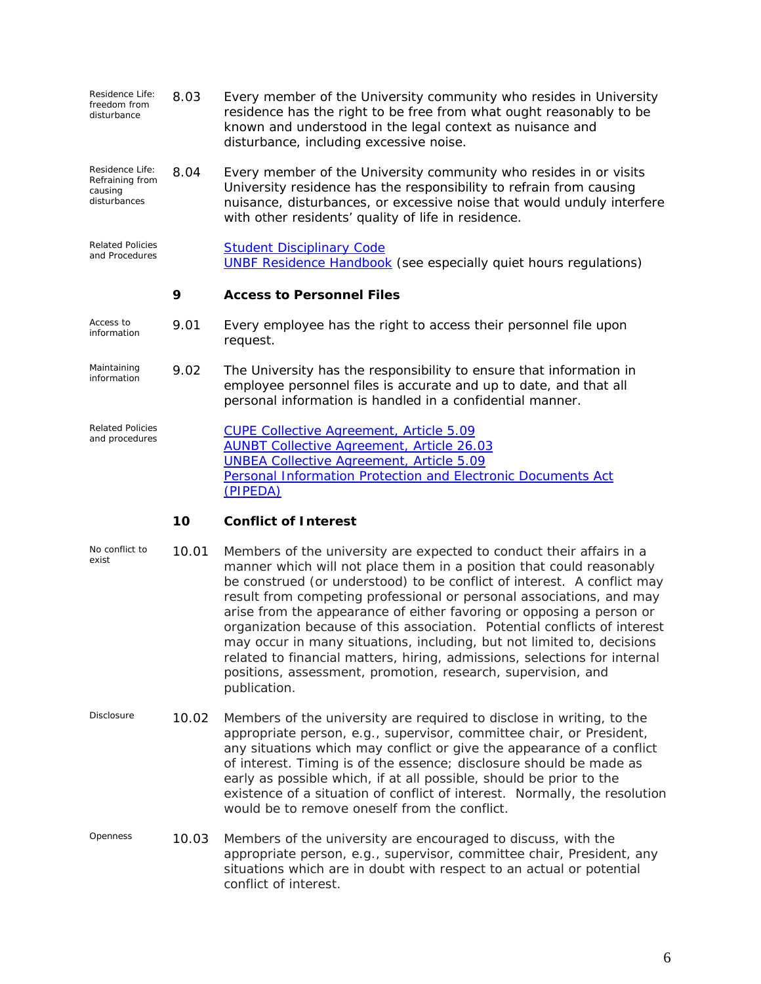| Residence Life:<br>freedom from<br>disturbance                | 8.03  | Every member of the University community who resides in University<br>residence has the right to be free from what ought reasonably to be<br>known and understood in the legal context as nuisance and<br>disturbance, including excessive noise.                                                                                                                                                                                                           |
|---------------------------------------------------------------|-------|-------------------------------------------------------------------------------------------------------------------------------------------------------------------------------------------------------------------------------------------------------------------------------------------------------------------------------------------------------------------------------------------------------------------------------------------------------------|
| Residence Life:<br>Refraining from<br>causing<br>disturbances | 8.04  | Every member of the University community who resides in or visits<br>University residence has the responsibility to refrain from causing<br>nuisance, disturbances, or excessive noise that would unduly interfere<br>with other residents' quality of life in residence.                                                                                                                                                                                   |
| <b>Related Policies</b><br>and Procedures                     |       | <b>Student Disciplinary Code</b><br><b>UNBF Residence Handbook</b> (see especially quiet hours regulations)                                                                                                                                                                                                                                                                                                                                                 |
|                                                               | 9     | <b>Access to Personnel Files</b>                                                                                                                                                                                                                                                                                                                                                                                                                            |
| Access to<br>information                                      | 9.01  | Every employee has the right to access their personnel file upon<br>request.                                                                                                                                                                                                                                                                                                                                                                                |
| Maintaining<br>information                                    | 9.02  | The University has the responsibility to ensure that information in<br>employee personnel files is accurate and up to date, and that all<br>personal information is handled in a confidential manner.                                                                                                                                                                                                                                                       |
| <b>Related Policies</b><br>and procedures                     |       | <b>CUPE Collective Agreement, Article 5.09</b><br><b>AUNBT Collective Agreement, Article 26.03</b><br><b>UNBEA Collective Agreement, Article 5.09</b><br><b>Personal Information Protection and Electronic Documents Act</b><br>(PIPEDA)                                                                                                                                                                                                                    |
|                                                               | 10    | <b>Conflict of Interest</b>                                                                                                                                                                                                                                                                                                                                                                                                                                 |
| No conflict to<br>exist                                       | 10.01 | Members of the university are expected to conduct their affairs in a<br>manner which will not place them in a position that could reasonably<br>be construed (or understood) to be conflict of interest. A conflict may<br>result from competing professional or personal associations, and may<br>arise from the <i>appearance</i> of either favoring or opposing a person or<br>organization because of this association. Potential conflicts of interest |

- may occur in many situations, including, but not limited to, decisions related to financial matters, hiring, admissions, selections for internal positions, assessment, promotion, research, supervision, and publication.
- *Disclosure* 10.02 Members of the university are required to disclose in writing, to the appropriate person, e.g., supervisor, committee chair, or President, any situations which may conflict or give the appearance of a conflict of interest. Timing is of the essence; disclosure should be made as early as possible which, if at all possible, should be prior to the existence of a situation of conflict of interest. Normally, the resolution would be to remove oneself from the conflict.
- *Openness* 10.03 Members of the university are encouraged to discuss, with the appropriate person, e.g., supervisor, committee chair, President, any situations which are in doubt with respect to an actual or potential conflict of interest.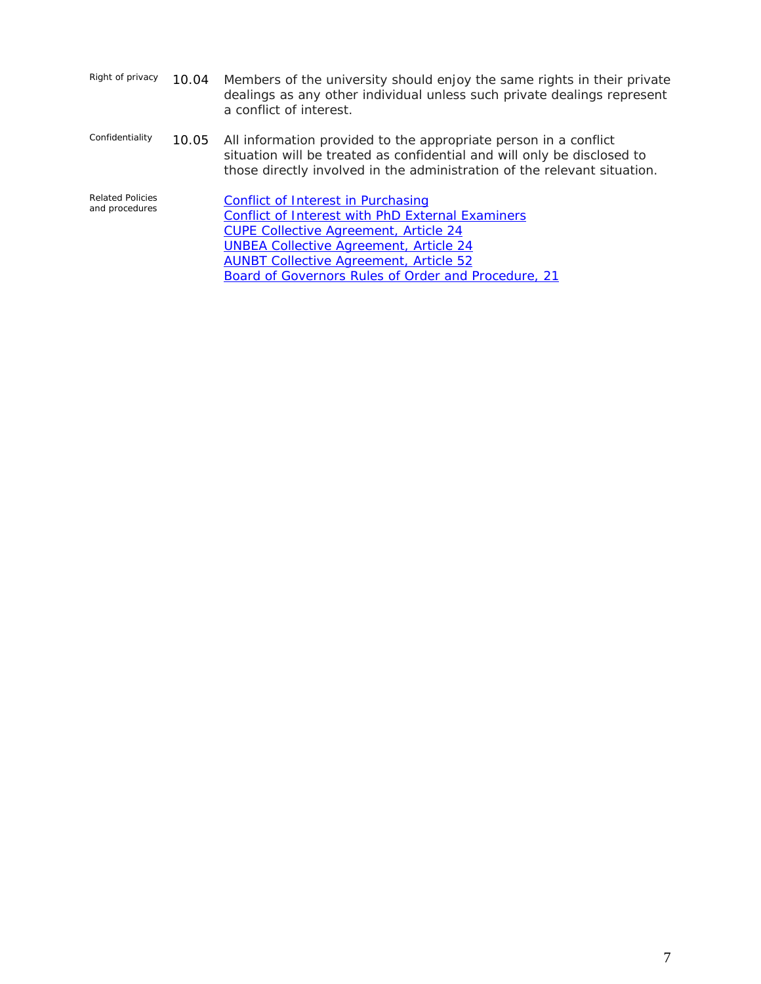| Right of privacy | 10.04 Members of the university should enjoy the same rights in their private |
|------------------|-------------------------------------------------------------------------------|
|                  | dealings as any other individual unless such private dealings represent       |
|                  | a conflict of interest.                                                       |

*Confidentiality* 10.05 All information provided to the appropriate person in a conflict situation will be treated as confidential and will only be disclosed to those directly involved in the administration of the relevant situation.

*Related Policies*  **[Conflict of Interest in Purchasing](http://www.unb.ca/services/financialservices/facstaff/conflictinterest.htm)** [Conflict of Interest with PhD External Examiners](http://www.unb.ca/gradschl/regulations/documents/ConflictofInterestformforPhDcandidate.pdf)  [CUPE Collective Agreement, Article 24](http://www.unb.ca/hr/cupesj/art24.html) [UNBEA Collective Agreement, Article 24](http://www.unb.ca/hr/GLTA/art24.html)  [AUNBT Collective Agreement, Article 52](http://www.unb.ca/hr/services/Article52.html)  Board of Governors Rules of Order and Procedure, 21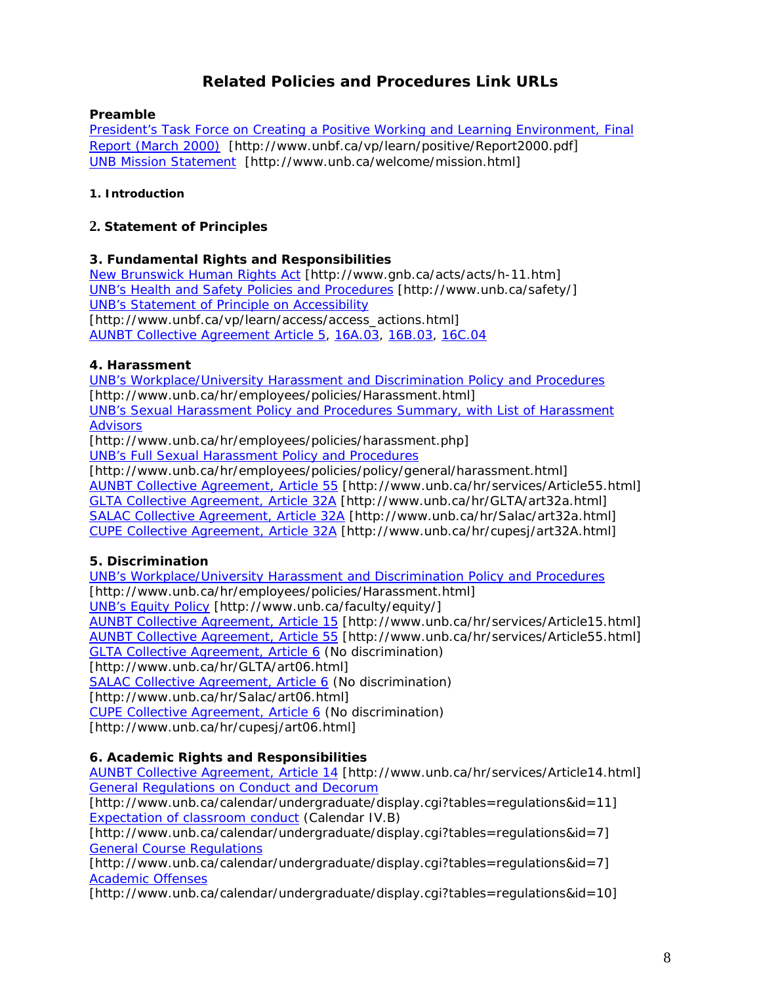# **Related Policies and Procedures Link URLs**

#### **Preamble**

[President's Task Force on Creating a Positive Working and Learning Environment, Final](http://www.unbf.ca/vp/learn/positive/Report2000.pdf)  [Report \(March 2000\)](http://www.unbf.ca/vp/learn/positive/Report2000.pdf) [<http://www.unbf.ca/vp/learn/positive/Report2000.pdf>] [UNB Mission Statement](http://www.unb.ca/welcome/mission.html) [http://www.unb.ca/welcome/mission.html]

#### **1. Introduction**

#### **2. Statement of Principles**

### **3. Fundamental Rights and Responsibilities**

[New Brunswick Human Rights Act](http://www.gnb.ca/acts/acts/h-11.htm) [http://www.gnb.ca/acts/acts/h-11.htm] [UNB's Health and Safety Policies and Procedures](http://www.unb.ca/safety/) [http://www.unb.ca/safety/] [UNB's Statement of Principle on Accessibility](http://www.unbf.ca/vp/learn/access/access_actions.html) [http://www.unbf.ca/vp/learn/access/access\_actions.html] [AUNBT Collective Agreement Article 5](http://www.unb.ca/hr/services/Article5.html), [16A.03](http://www.unb.ca/hr/services/Article16A.html), [16B.03](http://www.unb.ca/hr/services/Article16B.html), [16C.04](http://www.unb.ca/hr/services/Article16C.html)

### **4. Harassment**

[UNB's Workplace/University Harassment and Discrimination Policy and Procedures](http://www.unb.ca/hr/employees/policies/Harassment.html) [http://www.unb.ca/hr/employees/policies/Harassment.html] [UNB's Sexual Harassment Policy and Procedures Summary, with List of Harassment](http://www.unb.ca/hr/employees/policies/harassment.php)  [Advisors](http://www.unb.ca/hr/employees/policies/harassment.php)

[http://www.unb.ca/hr/employees/policies/harassment.php]

[UNB's Full Sexual Harassment Policy and Procedures](http://www.unb.ca/hr/employees/policies/policy/general/harassment.html)

[http://www.unb.ca/hr/employees/policies/policy/general/harassment.html] [AUNBT Collective Agreement, Article 55](http://www.unb.ca/hr/services/Article55.html) [http://www.unb.ca/hr/services/Article55.html] [GLTA Collective Agreement, Article 32A](http://www.unb.ca/hr/GLTA/art32a.html) [http://www.unb.ca/hr/GLTA/art32a.html] [SALAC Collective Agreement, Article 32A](http://www.unb.ca/hr/Salac/art32a.html) [http://www.unb.ca/hr/Salac/art32a.html] [CUPE Collective Agreement, Article 32A](http://www.unb.ca/hr/cupesj/art32A.html) [http://www.unb.ca/hr/cupesj/art32A.html]

## **5. Discrimination**

[UNB's Workplace/University Harassment and Discrimination Policy and Procedures](http://www.unb.ca/hr/employees/policies/Harassment.html)  [http://www.unb.ca/hr/employees/policies/Harassment.html] [UNB's Equity Policy](http://www.unb.ca/faculty/equity/) [http://www.unb.ca/faculty/equity/] [AUNBT Collective Agreement, Article 15](http://www.unb.ca/hr/services/Article15.html) [http://www.unb.ca/hr/services/Article15.html] [AUNBT Collective Agreement, Article 55](http://www.unb.ca/hr/services/Article55.html) [http://www.unb.ca/hr/services/Article55.html] [GLTA Collective Agreement, Article 6](http://www.unb.ca/hr/GLTA/art06.html) (No discrimination) [http://www.unb.ca/hr/GLTA/art06.html] [SALAC Collective Agreement, Article 6](http://www.unb.ca/hr/Salac/art06.html) (No discrimination) [http://www.unb.ca/hr/Salac/art06.html] [CUPE Collective Agreement, Article 6](http://www.unb.ca/hr/cupesj/art06.html) (No discrimination) [http://www.unb.ca/hr/cupesj/art06.html]

## **6. Academic Rights and Responsibilities**

[AUNBT Collective Agreement, Article 14](http://www.unb.ca/hr/services/Article14.html) [http://www.unb.ca/hr/services/Article14.html] [General Regulations on Conduct and Decorum](http://www.unb.ca/calendar/undergraduate/display.cgi?tables=regulations&id=11)

[http://www.unb.ca/calendar/undergraduate/display.cgi?tables=regulations&id=11] [Expectation of classroom conduct](http://www.unb.ca/calendar/undergraduate/display.cgi?tables=regulations&id=7) (Calendar IV.B)

[http://www.unb.ca/calendar/undergraduate/display.cgi?tables=regulations&id=7] [General Course Regulations](http://www.unb.ca/calendar/undergraduate/display.cgi?tables=regulations&id=7)

[http://www.unb.ca/calendar/undergraduate/display.cgi?tables=regulations&id=7] [Academic Offenses](http://www.unb.ca/calendar/undergraduate/display.cgi?tables=regulations&id=10)

[http://www.unb.ca/calendar/undergraduate/display.cgi?tables=regulations&id=10]